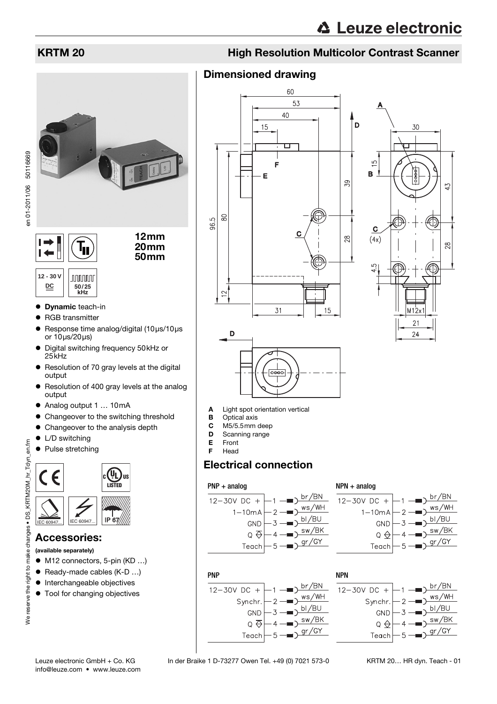

50116669 en 01-2011/06 50116669en 01-2011/06



12mm 20mm 50mm

#### **12 - 30 V JUUUUU**  $\underline{DC}$  | 50/25 **kHz**

- **Dynamic teach-in**
- RGB transmitter
- $\bullet$  Response time analog/digital (10μs/10μs or 10μs/20μs)
- Digital switching frequency 50kHz or  $25kHz$
- Resolution of 70 gray levels at the digital output
- Resolution of 400 gray levels at the analog output
- Analog output 1 … 10mA
- Changeover to the switching threshold
- Changeover to the analysis depth
- $\bullet$  L/D switching
- Pulse stretching

# $\mathbf{U}_\mathbf{L}$ **LISTED** IEC 60947... | IEC 60947... | **IP 67**

### Accessories:

(available separately)

- M12 connectors, 5-pin (KD ...)
- $\bullet$  Ready-made cables (K-D ...)
- $\bullet$  Interchangeable objectives
- $\bullet$  Tool for changing objectives

### KRTM 20 **High Resolution Multicolor Contrast Scanner**

### Dimensioned drawing







- A Light spot orientation vertical<br>B Optical axis
- **B** Optical axis<br>**C** M5/5.5mm
- M5/5.5mm deep
- **D** Scanning range<br>**E** Front
- E Front<br>F Head Head

### Electrical connection

### PNP + analog

PNP

 $12 - 30V$  DC +



 $br/BN$ 

bl/BU

 $gr/GY$ 

ws/WH

/BK **SW** 







Synchr.

GND

 $Q \nleftrightarrow$ 

Teach

 $\lambda$ 

KRTM 20… HR dyn. Teach - 01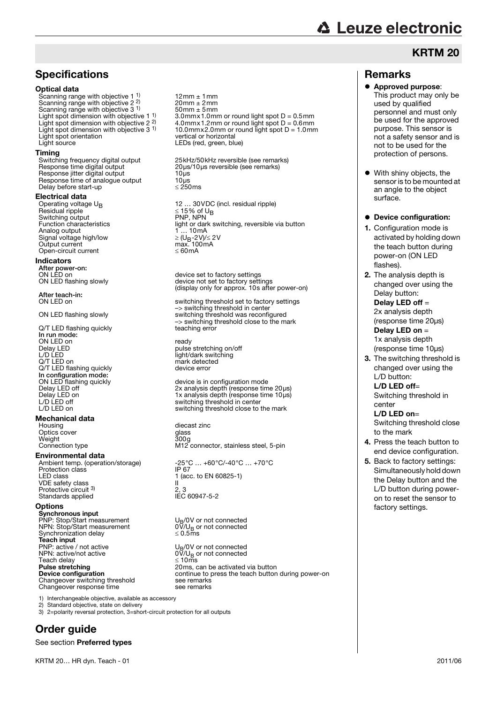# **∆ Leuze electronic**

### **Specifications**

#### Optical data

Scanning range with objective 1<sup>1</sup> Scanning range with objective 2 2) Scanning range with objective 3 <sup>1)</sup><br>Light spot dimension with objective 1 <sup>1)</sup><br>Light spot dimension with objective 2 <sup>2)</sup> Light spot orientation<br>Light source

**Timing**<br>Switching frequency digital output Response jitter digital output 10μs<br>Response time of analogue output 10μs Response time of analogue output 10μs<br>Delay before start-up clear to the cap Delay before start-up

## Electrical data<br>Operating voltage U<sub>B</sub>

Providual ripple and the UB Switching output PNP, NPN<br>Function characteristics and light or dar Analog output Signal voltage high/low<br>Output current Open-circuit current

#### Indicators

After power-on:<br>ON LED on

After teach-in:<br>ON I FD on

Q/T LED flashing quickly In run mode: ON LED on<br>
Delay LED<br>
L/D LED<br>
1990 - Delay Magnus (1990 - 1991 - 1991 - 1992 - 1991 - 1991 - 1992 - 1991 - 1992 - 1993 - 1992 - 1993 - 199 Delay LED **pulse stretching on/off** L/D LED light/dark switching Q/T LED on mark detected<br>
O/T I FD flashing quickly example the device error Q/T LED flashing quickly In configuration mode:<br>ON LED flashing quickly

## **Mechanical data**<br>Housing

Optics cover Weight<br>Connection type

#### Environmental data

Protection class<br>LED class VDE safety class Protective circuit 3) Standards applied

#### **Options**

Synchronous input PNP: Stop/Start measurement U<sub>B</sub>/0V or not connected **PNP:** Stop/Start measurement  $U_B/U_B$  or not connected<br>NPN: Stop/Start measurement  $0V/U_B$  or not connected<br>Synchronization delay  $\leq 0.5$ ms Synchronization delay Teach input<br>PNP: active / not active PNP: active / not active UB/0V or not connected NPN: active/not active 0V/UB or not connected NPN: active/not active<br>Teach delay<br>**Pulse stretching** Prime continue continue to the continue to the continue to the continue to the continue to the continue to the continue to the continue to the continue of the continue to the continue to the continue to the continue to the

Changeover response time

1) Interchangeable objective, available as accessory

2) Standard objective, state on delivery

3) 2=polarity reversal protection, 3=short-circuit protection for all outputs

### Order guide

See section Preferred types

12mm ± 1mm  $20$ mm  $\pm 2$ mm<br> $50$ mm  $\pm 5$ mm  $\frac{1}{2}$  3.0mmx1.0mm or round light spot D = 0.5mm Light spot dimension with objective 2 <sup>2)</sup> 4.0mmx1.2mm or round light spot D = 0.6mm<br>Light spot dimension with objective 3 <sup>1)</sup> 10.0mmx2.0mm or round light spot D = 1.0mn 10.0mm $x$ 2.0mm or round light spot D = 1.0mm<br>vertical or horizontal LEDs (red, green, blue)

Switching frequency digital output 25kHz/50kHz reversible (see remarks)<br>Response time digital output 20µs/10µs reversible (see remarks) 20μs/10μs reversible (see remarks)<br>10μs

Operating voltage  $U_B$  12 … 30VDC (incl. residual ripple)<br>Residual ripple  $\leq 15\%$  of  $U_B$ light or dark switching, reversible via button 1... 10mA<br>
≥ (U<sub>B</sub>-2V)/≤ 2V<br>
max. 100mA<br>
≤ 60mA

ON LED on device set to factory settings<br>
ON LED flashing slowly device not set to factory setti ON LED flashing slowly device not set to factory settings (display only for approx. 10s after power-on)

ON LED on switching threshold set to factory settings –> switching threshold in center ON LED flashing slowly switching threshold was reconfigured –> switching threshold close to the mark

ON LED flashing quickly device is in configuration mode<br>
Delay LED off device is a configuration of the device is in configuration mode Delay LED off 2x analysis depth (response time 20μs)<br>Delay LED on 1x analysis depth (response time 10μs)<br>L/D LED off switching threshold in center Delay LED on 1x analysis depth (response time 10μs) L/D LED off switching threshold in center L/D LED on switching threshold close to the mark

> diecast zinc<br>glass<br>300g M12 connector, stainless steel, 5-pin

Ambient temp. (operation/storage)  $-25^{\circ}\text{C} ... +60^{\circ}\text{C}/-40^{\circ}\text{C} ... +70^{\circ}\text{C}$ <br>Protection class  $\frac{1}{1}$  (acc. to EN 60825-1) 2, 3<br>IFC 60947-5-2

 $\leq$  10ms<br>20ms, can be activated via button continue to press the teach button during power-on<br>see remarks

## Remarks

Approved purpose: This product may only be used by qualified personnel and must only be used for the approved purpose. This sensor is not a safety sensor and is not to be used for the protection of persons.

KRTM 20

 $\bullet$  With shiny objects, the sensor is to be mounted at an angle to the object surface.

### • Device configuration:

- 1. Configuration mode is activated by holding down the teach button during power-on (ON LED flashes).
- 2. The analysis depth is changed over using the Delay button:

Delay LED off = 2x analysis depth (response time 20μs) Delay LED on = 1x analysis depth (response time 10μs)

3. The switching threshold is changed over using the L/D button:

L/D LED off= Switching threshold in center

#### L/D LED on=

Switching threshold close to the mark

- 4. Press the teach button to end device configuration.
- 5. Back to factory settings: Simultaneously hold down the Delay button and the L/D button during poweron to reset the sensor to factory settings.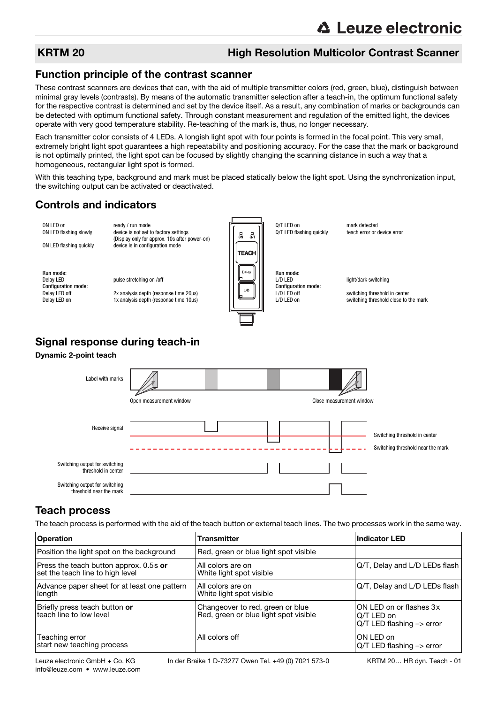### KRTM 20 **High Resolution Multicolor Contrast Scanner**

### Function principle of the contrast scanner

These contrast scanners are devices that can, with the aid of multiple transmitter colors (red, green, blue), distinguish between minimal gray levels (contrasts). By means of the automatic transmitter selection after a teach-in, the optimum functional safety for the respective contrast is determined and set by the device itself. As a result, any combination of marks or backgrounds can be detected with optimum functional safety. Through constant measurement and regulation of the emitted light, the devices operate with very good temperature stability. Re-teaching of the mark is, thus, no longer necessary.

Each transmitter color consists of 4 LEDs. A longish light spot with four points is formed in the focal point. This very small, extremely bright light spot guarantees a high repeatability and positioning accuracy. For the case that the mark or background is not optimally printed, the light spot can be focused by slightly changing the scanning distance in such a way that a homogeneous, rectangular light spot is formed.

With this teaching type, background and mark must be placed statically below the light spot. Using the synchronization input, the switching output can be activated or deactivated.

### Controls and indicators

ON LED on ready / run mode<br>ON LED flashing slowly device is not set to Q/T LED on mark detected<br>Q/T LED flashing quickly teach error or device error device is not set to factory settings Q/T LED flashing quickly  $\overline{\mathbf{u}}$  $\mathbf{a}$ (Display only for approx. 10s after power-on) ON LED flashing quickly device is in configuration mode **TEACH** Dela Run mode:<br>Delav LED Run mode:<br>L/D LED pulse stretching on /off light/dark switching Configuration mode:<br>Delay LED off Configuration mode:<br>L/D LED off  $\nu$ Delay LED off 2x analysis depth (response time 20μs)<br>Delay LED on 1x analysis depth (response time 10μs) L/D LED off switching threshold in center<br>  $\frac{1}{D}$  LED on switching threshold close to t 1x analysis depth (response time 10μs) switching threshold close to the mark

### Signal response during teach-in

### Dynamic 2-point teach



### Teach process

The teach process is performed with the aid of the teach button or external teach lines. The two processes work in the same way.

| <b>Operation</b>                                                           | Transmitter                                                               | <b>Indicator LED</b>                                                            |
|----------------------------------------------------------------------------|---------------------------------------------------------------------------|---------------------------------------------------------------------------------|
| Position the light spot on the background                                  | Red, green or blue light spot visible                                     |                                                                                 |
| Press the teach button approx. 0.5s or<br>set the teach line to high level | All colors are on<br>White light spot visible                             | Q/T, Delay and L/D LEDs flash                                                   |
| Advance paper sheet for at least one pattern<br>length                     | All colors are on<br>White light spot visible                             | Q/T, Delay and L/D LEDs flash                                                   |
| Briefly press teach button or<br>teach line to low level                   | Changeover to red, green or blue<br>Red, green or blue light spot visible | ON LED on or flashes 3x<br>Q/T LED on<br>$Q/T$ LED flashing $\rightarrow$ error |
| Teaching error<br>start new teaching process                               | All colors off                                                            | ON LED on<br>Q/T LED flashing -> error                                          |

info@leuze.com • www.leuze.com

Leuze electronic GmbH + Co. KG In der Braike 1 D-73277 Owen Tel. +49 (0) 7021 573-0 KRTM 20... HR dyn. Teach - 01